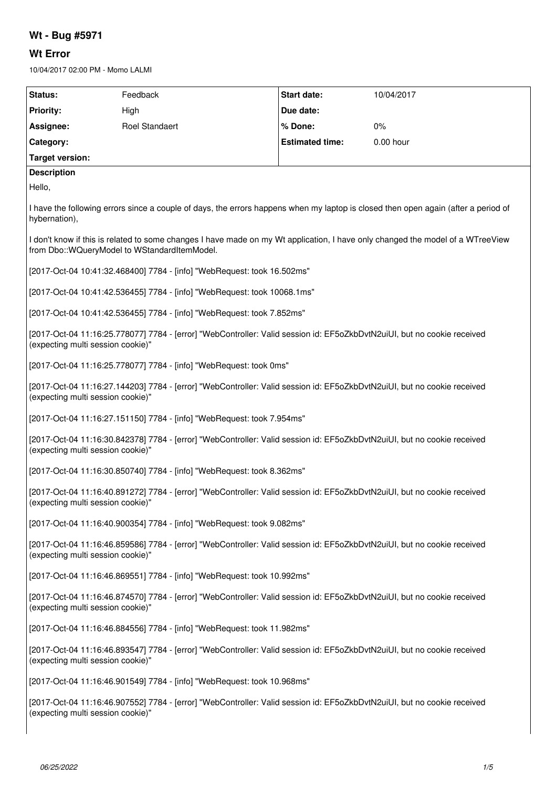# **Wt - Bug #5971**

# **Wt Error**

10/04/2017 02:00 PM - Momo LALMI

| Status:                                                                                                                                                                        | Feedback              | <b>Start date:</b>     | 10/04/2017 |
|--------------------------------------------------------------------------------------------------------------------------------------------------------------------------------|-----------------------|------------------------|------------|
| <b>Priority:</b>                                                                                                                                                               | High                  | Due date:              |            |
| Assignee:                                                                                                                                                                      | <b>Roel Standaert</b> | % Done:                | $0\%$      |
| Category:                                                                                                                                                                      |                       | <b>Estimated time:</b> | 0.00 hour  |
| <b>Target version:</b>                                                                                                                                                         |                       |                        |            |
| <b>Description</b>                                                                                                                                                             |                       |                        |            |
| Hello,                                                                                                                                                                         |                       |                        |            |
| I have the following errors since a couple of days, the errors happens when my laptop is closed then open again (after a period of<br>hybernation),                            |                       |                        |            |
| I don't know if this is related to some changes I have made on my Wt application, I have only changed the model of a WTreeView<br>from Dbo::WQueryModel to WStandardItemModel. |                       |                        |            |
| [2017-Oct-04 10:41:32.468400] 7784 - [info] "WebRequest: took 16.502ms"                                                                                                        |                       |                        |            |
| [2017-Oct-04 10:41:42.536455] 7784 - [info] "WebRequest: took 10068.1ms"                                                                                                       |                       |                        |            |
| [2017-Oct-04 10:41:42.536455] 7784 - [info] "WebRequest: took 7.852ms"                                                                                                         |                       |                        |            |
| [2017-Oct-04 11:16:25.778077] 7784 - [error] "WebController: Valid session id: EF5oZkbDvtN2uiUI, but no cookie received<br>(expecting multi session cookie)"                   |                       |                        |            |
| [2017-Oct-04 11:16:25.778077] 7784 - [info] "WebRequest: took 0ms"                                                                                                             |                       |                        |            |
| [2017-Oct-04 11:16:27.144203] 7784 - [error] "WebController: Valid session id: EF5oZkbDvtN2uiUI, but no cookie received<br>(expecting multi session cookie)"                   |                       |                        |            |
| [2017-Oct-04 11:16:27.151150] 7784 - [info] "WebRequest: took 7.954ms"                                                                                                         |                       |                        |            |
| [2017-Oct-04 11:16:30.842378] 7784 - [error] "WebController: Valid session id: EF5oZkbDvtN2uiUI, but no cookie received<br>(expecting multi session cookie)"                   |                       |                        |            |
| [2017-Oct-04 11:16:30.850740] 7784 - [info] "WebRequest: took 8.362ms"                                                                                                         |                       |                        |            |
| [2017-Oct-04 11:16:40.891272] 7784 - [error] "WebController: Valid session id: EF5oZkbDvtN2uiUI, but no cookie received<br>(expecting multi session cookie)"                   |                       |                        |            |
| [2017-Oct-04 11:16:40.900354] 7784 - [info] "WebRequest: took 9.082ms"                                                                                                         |                       |                        |            |
| [2017-Oct-04 11:16:46.859586] 7784 - [error] "WebController: Valid session id: EF5oZkbDvtN2uiUI, but no cookie received<br>(expecting multi session cookie)"                   |                       |                        |            |
| [2017-Oct-04 11:16:46.869551] 7784 - [info] "WebRequest: took 10.992ms"                                                                                                        |                       |                        |            |
| [2017-Oct-04 11:16:46.874570] 7784 - [error] "WebController: Valid session id: EF5oZkbDvtN2uiUI, but no cookie received<br>(expecting multi session cookie)"                   |                       |                        |            |
| [2017-Oct-04 11:16:46.884556] 7784 - [info] "WebRequest: took 11.982ms"                                                                                                        |                       |                        |            |
| [2017-Oct-04 11:16:46.893547] 7784 - [error] "WebController: Valid session id: EF5oZkbDvtN2uiUI, but no cookie received<br>(expecting multi session cookie)"                   |                       |                        |            |
| [2017-Oct-04 11:16:46.901549] 7784 - [info] "WebRequest: took 10.968ms"                                                                                                        |                       |                        |            |
| [2017-Oct-04 11:16:46.907552] 7784 - [error] "WebController: Valid session id: EF5oZkbDvtN2uiUI, but no cookie received<br>(expecting multi session cookie)"                   |                       |                        |            |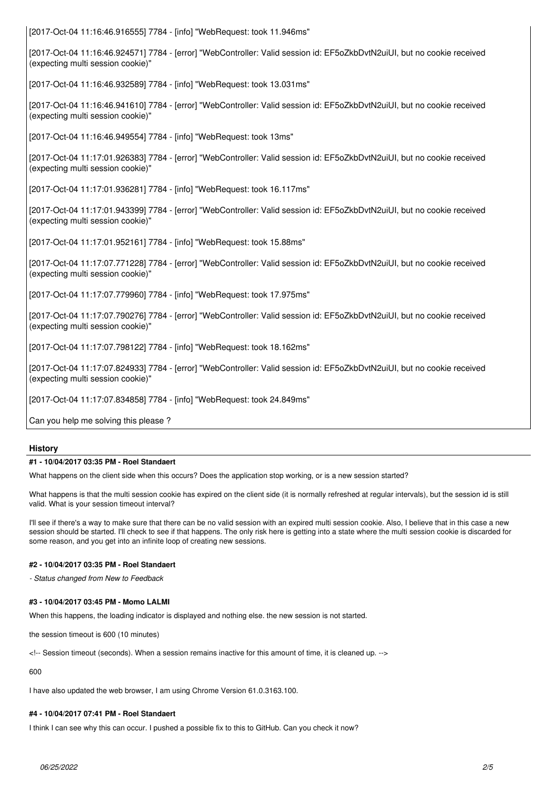[2017-Oct-04 11:16:46.916555] 7784 - [info] "WebRequest: took 11.946ms"

[2017-Oct-04 11:16:46.924571] 7784 - [error] "WebController: Valid session id: EF5oZkbDvtN2uiUI, but no cookie received (expecting multi session cookie)"

[2017-Oct-04 11:16:46.932589] 7784 - [info] "WebRequest: took 13.031ms"

[2017-Oct-04 11:16:46.941610] 7784 - [error] "WebController: Valid session id: EF5oZkbDvtN2uiUI, but no cookie received (expecting multi session cookie)"

[2017-Oct-04 11:16:46.949554] 7784 - [info] "WebRequest: took 13ms"

[2017-Oct-04 11:17:01.926383] 7784 - [error] "WebController: Valid session id: EF5oZkbDvtN2uiUI, but no cookie received (expecting multi session cookie)"

[2017-Oct-04 11:17:01.936281] 7784 - [info] "WebRequest: took 16.117ms"

[2017-Oct-04 11:17:01.943399] 7784 - [error] "WebController: Valid session id: EF5oZkbDvtN2uiUI, but no cookie received (expecting multi session cookie)"

[2017-Oct-04 11:17:01.952161] 7784 - [info] "WebRequest: took 15.88ms"

[2017-Oct-04 11:17:07.771228] 7784 - [error] "WebController: Valid session id: EF5oZkbDvtN2uiUI, but no cookie received (expecting multi session cookie)"

[2017-Oct-04 11:17:07.779960] 7784 - [info] "WebRequest: took 17.975ms"

[2017-Oct-04 11:17:07.790276] 7784 - [error] "WebController: Valid session id: EF5oZkbDvtN2uiUI, but no cookie received (expecting multi session cookie)"

[2017-Oct-04 11:17:07.798122] 7784 - [info] "WebRequest: took 18.162ms"

[2017-Oct-04 11:17:07.824933] 7784 - [error] "WebController: Valid session id: EF5oZkbDvtN2uiUI, but no cookie received (expecting multi session cookie)"

[2017-Oct-04 11:17:07.834858] 7784 - [info] "WebRequest: took 24.849ms"

Can you help me solving this please ?

## **History**

#### **#1 - 10/04/2017 03:35 PM - Roel Standaert**

What happens on the client side when this occurs? Does the application stop working, or is a new session started?

What happens is that the multi session cookie has expired on the client side (it is normally refreshed at regular intervals), but the session id is still valid. What is your session timeout interval?

I'll see if there's a way to make sure that there can be no valid session with an expired multi session cookie. Also, I believe that in this case a new session should be started. I'll check to see if that happens. The only risk here is getting into a state where the multi session cookie is discarded for some reason, and you get into an infinite loop of creating new sessions.

#### **#2 - 10/04/2017 03:35 PM - Roel Standaert**

*- Status changed from New to Feedback*

### **#3 - 10/04/2017 03:45 PM - Momo LALMI**

When this happens, the loading indicator is displayed and nothing else. the new session is not started.

the session timeout is 600 (10 minutes)

<!-- Session timeout (seconds). When a session remains inactive for this amount of time, it is cleaned up. -->

600

I have also updated the web browser, I am using Chrome Version 61.0.3163.100.

## **#4 - 10/04/2017 07:41 PM - Roel Standaert**

I think I can see why this can occur. I pushed a possible fix to this to GitHub. Can you check it now?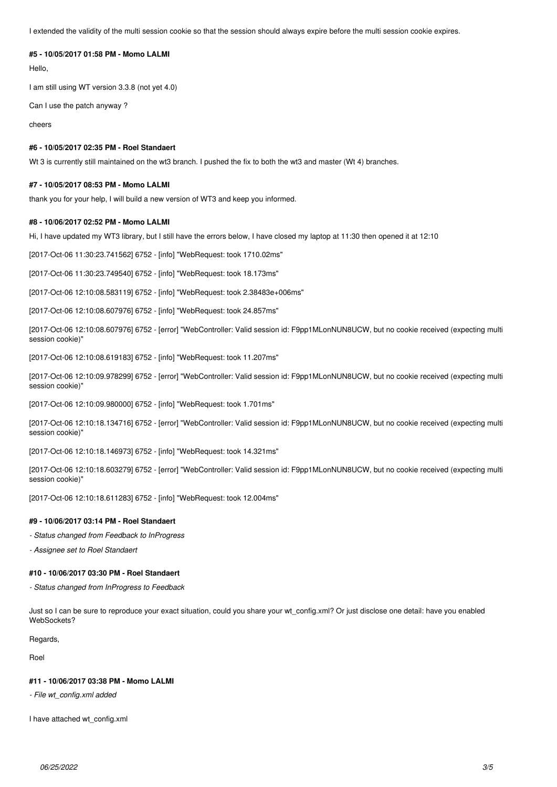I extended the validity of the multi session cookie so that the session should always expire before the multi session cookie expires.

# **#5 - 10/05/2017 01:58 PM - Momo LALMI**

Hello,

I am still using WT version 3.3.8 (not yet 4.0)

Can I use the patch anyway ?

cheers

# **#6 - 10/05/2017 02:35 PM - Roel Standaert**

Wt 3 is currently still maintained on the wt3 branch. I pushed the fix to both the wt3 and master (Wt 4) branches.

#### **#7 - 10/05/2017 08:53 PM - Momo LALMI**

thank you for your help, I will build a new version of WT3 and keep you informed.

#### **#8 - 10/06/2017 02:52 PM - Momo LALMI**

Hi, I have updated my WT3 library, but I still have the errors below, I have closed my laptop at 11:30 then opened it at 12:10

[2017-Oct-06 11:30:23.741562] 6752 - [info] "WebRequest: took 1710.02ms"

[2017-Oct-06 11:30:23.749540] 6752 - [info] "WebRequest: took 18.173ms"

[2017-Oct-06 12:10:08.583119] 6752 - [info] "WebRequest: took 2.38483e+006ms"

[2017-Oct-06 12:10:08.607976] 6752 - [info] "WebRequest: took 24.857ms"

[2017-Oct-06 12:10:08.607976] 6752 - [error] "WebController: Valid session id: F9pp1MLonNUN8UCW, but no cookie received (expecting multi session cookie)"

[2017-Oct-06 12:10:08.619183] 6752 - [info] "WebRequest: took 11.207ms"

[2017-Oct-06 12:10:09.978299] 6752 - [error] "WebController: Valid session id: F9pp1MLonNUN8UCW, but no cookie received (expecting multi session cookie)"

[2017-Oct-06 12:10:09.980000] 6752 - [info] "WebRequest: took 1.701ms"

[2017-Oct-06 12:10:18.134716] 6752 - [error] "WebController: Valid session id: F9pp1MLonNUN8UCW, but no cookie received (expecting multi session cookie)"

[2017-Oct-06 12:10:18.146973] 6752 - [info] "WebRequest: took 14.321ms"

[2017-Oct-06 12:10:18.603279] 6752 - [error] "WebController: Valid session id: F9pp1MLonNUN8UCW, but no cookie received (expecting multi session cookie)"

[2017-Oct-06 12:10:18.611283] 6752 - [info] "WebRequest: took 12.004ms"

#### **#9 - 10/06/2017 03:14 PM - Roel Standaert**

*- Status changed from Feedback to InProgress*

*- Assignee set to Roel Standaert*

#### **#10 - 10/06/2017 03:30 PM - Roel Standaert**

*- Status changed from InProgress to Feedback*

Just so I can be sure to reproduce your exact situation, could you share your wt config.xml? Or just disclose one detail: have you enabled WebSockets?

Regards,

Roel

#### **#11 - 10/06/2017 03:38 PM - Momo LALMI**

*- File wt\_config.xml added*

I have attached wt\_config.xml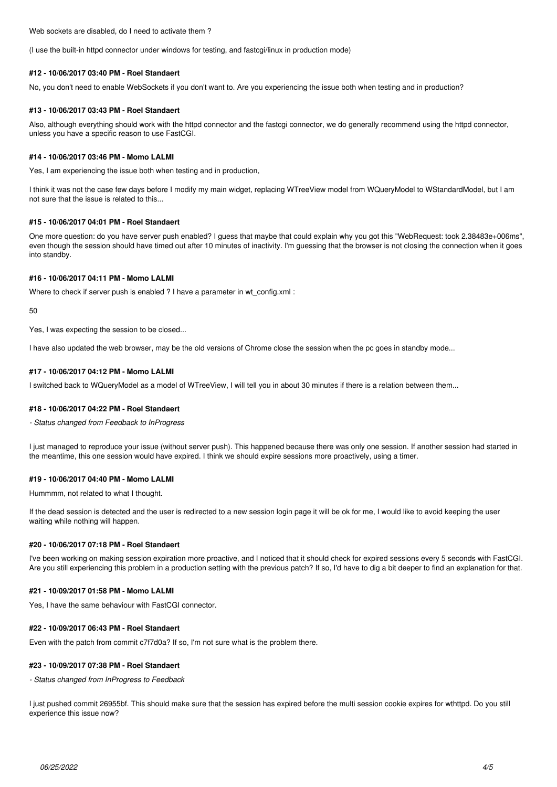Web sockets are disabled, do I need to activate them ?

(I use the built-in httpd connector under windows for testing, and fastcgi/linux in production mode)

#### **#12 - 10/06/2017 03:40 PM - Roel Standaert**

No, you don't need to enable WebSockets if you don't want to. Are you experiencing the issue both when testing and in production?

#### **#13 - 10/06/2017 03:43 PM - Roel Standaert**

Also, although everything should work with the httpd connector and the fastcgi connector, we do generally recommend using the httpd connector, unless you have a specific reason to use FastCGI.

#### **#14 - 10/06/2017 03:46 PM - Momo LALMI**

Yes, I am experiencing the issue both when testing and in production,

I think it was not the case few days before I modify my main widget, replacing WTreeView model from WQueryModel to WStandardModel, but I am not sure that the issue is related to this...

#### **#15 - 10/06/2017 04:01 PM - Roel Standaert**

One more question: do you have server push enabled? I guess that maybe that could explain why you got this "WebRequest: took 2.38483e+006ms", even though the session should have timed out after 10 minutes of inactivity. I'm guessing that the browser is not closing the connection when it goes into standby.

#### **#16 - 10/06/2017 04:11 PM - Momo LALMI**

Where to check if server push is enabled ? I have a parameter in wt\_config.xml :

50

Yes, I was expecting the session to be closed...

I have also updated the web browser, may be the old versions of Chrome close the session when the pc goes in standby mode...

#### **#17 - 10/06/2017 04:12 PM - Momo LALMI**

I switched back to WQueryModel as a model of WTreeView, I will tell you in about 30 minutes if there is a relation between them...

#### **#18 - 10/06/2017 04:22 PM - Roel Standaert**

*- Status changed from Feedback to InProgress*

I just managed to reproduce your issue (without server push). This happened because there was only one session. If another session had started in the meantime, this one session would have expired. I think we should expire sessions more proactively, using a timer.

#### **#19 - 10/06/2017 04:40 PM - Momo LALMI**

Hummmm, not related to what I thought.

If the dead session is detected and the user is redirected to a new session login page it will be ok for me, I would like to avoid keeping the user waiting while nothing will happen.

#### **#20 - 10/06/2017 07:18 PM - Roel Standaert**

I've been working on making session expiration more proactive, and I noticed that it should check for expired sessions every 5 seconds with FastCGI. Are you still experiencing this problem in a production setting with the previous patch? If so, I'd have to dig a bit deeper to find an explanation for that.

#### **#21 - 10/09/2017 01:58 PM - Momo LALMI**

Yes, I have the same behaviour with FastCGI connector.

#### **#22 - 10/09/2017 06:43 PM - Roel Standaert**

Even with the patch from commit c7f7d0a? If so, I'm not sure what is the problem there.

#### **#23 - 10/09/2017 07:38 PM - Roel Standaert**

*- Status changed from InProgress to Feedback*

I just pushed commit 26955bf. This should make sure that the session has expired before the multi session cookie expires for wthttpd. Do you still experience this issue now?